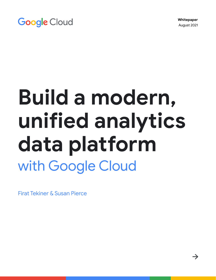**Whitepaper**  August 2021

 $\rightarrow$ 

# **Google Cloud**

# **Build a modern, unified analytics data platform** with Google Cloud

Firat Tekiner & Susan Pierce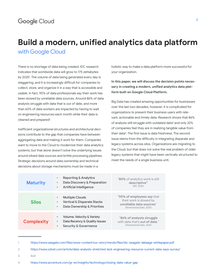## **Build a modern, unified analytics data platform** with Google Cloud

There is no shortage of data being created. IDC research indicates that worldwide data will grow to 175 zettabytes by 2025<sup>1</sup>. The volume of data being generated every day is staggering, and it is increasingly difficult for companies to collect, store, and organize it in a way that is accessible and usable. In fact, 90% of data professionals say their work has been slowed by unreliable data sources. Around 86% of data analysts struggle with data that is out of date, and more than 60% of data workers are impacted by having to wait on engineering resources each month while their data is cleaned and prepared<sup>2</sup>.

Inefficient organizational structures and architectural decisions contribute to the gap that companies have between aggregating data and making it work for them. Companies want to move to the Cloud to modernize their data analytics systems, but that alone doesn't solve the underlying issues around siloed data sources and brittle processing pipelines. Strategic decisions around data ownership and technical decisions about storage mechanisms must be made in a

holistic way to make a data platform more successful for your organization.

**In this paper, we will discuss the decision points necessary in creating a modern, unified analytics data platform built on Google Cloud Platform.** 

Big Data has created amazing opportunities for businesses over the last two decades, however, it is complicated for organizations to present their business users with relevant, actionable and timely data. Research shows that 86% of analysts still struggle with outdated data<sup>3</sup> and only 32% of companies feel they are in realizing tangible value from their data<sup>4</sup>. The first issue is data freshness. The second issue stems from the difficulty in integrating disparate and legacy systems across silos. Organizations are migrating to the Cloud, but that does not solve the real problem of older legacy systems that might have been vertically structured to meet the needs of a single business unit.

| <b>Maturity</b>   | Reporting & Analytics<br>٠<br>Data Discovery & Preparation<br><b>Artificial Intelligence</b><br>۰                         | "80% of analytics work is still<br>descriptive"<br>MIT. 2020                                                |
|-------------------|---------------------------------------------------------------------------------------------------------------------------|-------------------------------------------------------------------------------------------------------------|
| <b>Silos</b>      | <b>Multiple Clouds</b><br>۰<br><b>Vertical &amp; Disparate Stacks</b><br>٠<br>Data Ownership & Priorities<br>۰            | "90% of employees say that<br>their work is slowed by<br>unreliable data sources"<br>Dimensional Data, 2020 |
| <b>Complexity</b> | <b>Volume, Velocity &amp; Variety</b><br>٠<br>Data Recency & Quality Issues<br>٠<br><b>Security &amp; Governance</b><br>٠ | "86% of analysts struggle<br>with data that's out of date."<br>Dimensional Data, 2020                       |

<sup>1</sup> <https://www.seagate.com/files/www-content/our-story/trends/files/idc-seagate-dataage-whitepaper.pdf>

<sup>2</sup> <https://www.zdnet.com/article/data-analysts-stretched-lack-engineering-resource-current-data-says-survey/>

<sup>3</sup> ibid

<sup>4</sup> <https://www.accenture.com/gr-en/insights/technology/closing-data-value-gap>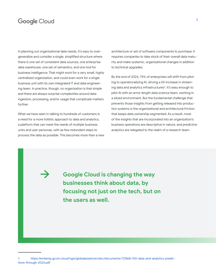In planning out organizational data needs, it's easy to overgeneralize and consider a single, simplified structure where there is one set of consistent data sources, one enterprise data warehouse, one set of semantics, and one tool for business intelligence. That might work for a very small, highly centralized organization, and could even work for a single business unit with its own integrated IT and data engineering team. In practice, though, no organization is that simple and there are always surprise complexities around data ingestion, processing, and/or usage that complicate matters further.

What we have seen in talking to hundreds of customers is a need for a more holistic approach to data and analytics, a platform that can meet the needs of multiple business units and user personas, with as few redundant steps to process the data as possible. This becomes more than a new architecture or set of software components to purchase; it requires companies to take stock of their overall data maturity and make systemic, organizational changes in addition to technical upgrades.

By the end of 2024, 75% of enterprises will shift from piloting to operationalizing AI, driving a 5X increase in streaming data and analytics infrastructures<sup>5</sup>. It's easy enough to pilot AI with an arms-length data science team, working in a siloed environment. But the fundamental challenge that prevents those insights from getting released into production systems is the organizational and architectural friction that keeps data ownership segmented. As a result, most of the insights that are incorporated into an organization's business operations are descriptive in nature, and predictive analytics are relegated to the realm of a research team.

**Google Cloud is changing the way businesses think about data, by focusing not just on the tech, but on the users as well.**

[https://emtemp.gcom.cloud/ngw/globalassets/en/doc/documents/721868-100-data-and-analytics-predic](https://emtemp.gcom.cloud/ngw/globalassets/en/doc/documents/721868-100-data-and-analytics-predictions-through-2024.pdf)[tions-through-2024.pdf](https://emtemp.gcom.cloud/ngw/globalassets/en/doc/documents/721868-100-data-and-analytics-predictions-through-2024.pdf)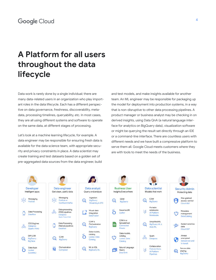## **A Platform for all users throughout the data lifecycle**

Data work is rarely done by a single individual; there are many data-related users in an organization who play important roles in the data lifecycle. Each has a different perspective on data governance, freshness, discoverability, metadata, processing timelines, queryability, etc. In most cases, they are all using different systems and software to operate on the same data, at different stages of processing.

Let's look at a machine learning lifecycle, for example. A data engineer may be responsible for ensuring fresh data is available for the data science team, with appropriate security and privacy constraints in place. A data scientist may create training and test datasets based on a golden set of pre-aggregated data sources from the data engineer, build

and test models, and make insights available for another team. An ML engineer may be responsible for packaging up the model for deployment into production systems, in a way that is non-disruptive to other data processing pipelines. A product manager or business analyst may be checking in on derived insights, using Data QnA (a natural language interface for analytics on BigQuery data), visualization software or might be querying the result set directly through an IDE or a command-line interface. There are countless users with different needs and we have built a compressive platform to serve them all. Google Cloud meets customers where they are with tools to meet the needs of the business.

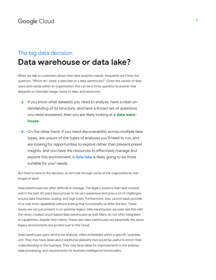## The big data decision: **Data warehouse or data lake?**

When we talk to customers about their data analytics needs, frequently we'll hear the question, "Which do I need: a data lake or a data warehouse?" Given the variety of data users and needs within an organization, this can be a tricky question to answer that depends on intended usage, types of data, and personnel.

- $\rightarrow$  If you know what datasets you need to analyze, have a clear understanding of its structure, and have a known set of questions you need answered, then you are likely looking at a **data warehouse.**
- $\rightarrow$  On the other hand, if you need discoverability across multiple data types, are unsure of the types of analyses you'll need to run, and are looking for opportunities to explore rather than present preset insights, and you have the resources to effectively manage and explore this environment, a **data lake** is likely going to be more suitable for your needs.

But there's more to the decision, so let's talk through some of the organizational challenges of each.

Data warehouses are often difficult to manage. The legacy systems that have worked well in the past 40 years have proven to be very expensive and pose a lot of challenges around data freshness, scaling, and high costs. Furthermore, they cannot easily provide AI or real-time capabilities without bolting that functionality on after the fact. These issues are not just present in on-premise legacy data warehouses; we even see this with the newly created cloud-based data warehouses as well. Many do not offer integrated AI capabilities, despite their claims. These new data warehouses are essentially the same legacy environments but ported over to the Cloud.

Data warehouse users tend to be analysts, often embedded within a specific business unit. They may have ideas about additional datasets that would be useful to enrich their understanding of the business. They may have ideas for improvements in the analysis, data processing, and requirements for business intelligence functionality.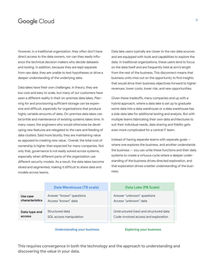However, in a traditional organization, they often don't have direct access to the data owners, nor can they easily influence the technical decision makers who decide datasets and tooling. In addition, because they are kept separate from raw data, they are unable to test hypotheses or drive a deeper understanding of the underlying data.

Data lakes have their own challenges. In theory, they are low cost and easy to scale, but many of our customers have seen a different reality in their on-premise data lakes. Planning for and provisioning sufficient storage can be expensive and difficult, especially for organizations that produce highly variable amounts of data. On-premise data lakes can be brittle and maintenance of existing systems takes time. In many cases, the engineers who would otherwise be developing new features are relegated to the care and feeding of data clusters. Said more bluntly, they are maintaining value as opposed to creating new value. Overall, the total cost of ownership is higher than expected for many companies. Not only that, governance is not easily solved across systems, especially when different parts of the organization use different security models. As a result, the data lakes become siloed and segmented, making it difficult to share data and models across teams.

Data lake users typically are closer to the raw data sources and are equipped with tools and capabilities to explore the data. In traditional organizations, these users tend to focus on the data itself and are frequently held at arm's length from the rest of the business. This disconnect means that business units miss out on the opportunity to find insights that would drive their business objectives forward to higher revenues, lower costs, lower risk, and new opportunities.

Given these tradeoffs, many companies end up with a hybrid approach, where a data lake is set up to graduate some data into a data warehouse or a data warehouse has a side data lake for additional testing and analysis. But with multiple teams fabricating their own data architectures to suit their individual needs, data sharing and fidelity gets even more complicated for a central IT team.

Instead of having separate teams with separate goals where one explores the business, and another understands the business — you can unite these functions and their data systems to create a virtuous cycle where a deeper understanding of the business drives directed exploration, and that exploration drives a better understanding of the business.

#### **Data Warehouse (TB scale) Data Lake (PB Scale)**

**Use case characteristics Data type and** 

**access**

Answer "known" questions Access "known" data

Structured data SQL access manipulation

**Understanding your business Exploring your business**

Answer "unknown" questions Access "unknown" data

Unstructured (raw) and structured data Code-involved access and exploration

This requires convergence in both the technology and the approach to understanding and discovering the value in your data.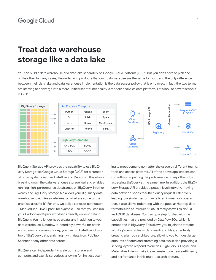## **Treat data warehouse storage like a data lake**

You can build a data warehouse or a data lake separately on Google Cloud Platform (GCP), but you don't have to pick one or the other. In many cases, the underlying products that our customers use are the same for both, and the only difference between their data lake and data warehouse implementation is the data access policy that is employed. In fact, the two terms are starting to converge into a more unified set of functionality, a modern analytics data platform. Let's look at how this works in GCP.



BigQuery Storage API provides the capability to use BigQuery Storage like Google Cloud Storage (GCS) for a number of other systems such as Dataflow and Dataproc. This allows breaking down the data warehouse storage wall and enables running high-performance dataframes on BigQuery. In other words, the BigQuery Storage API allows your BigQuery data warehouse to act like a data lake. So what are some of the practical uses for it? For one, we built a series of connectors - MapReduce, Hive, Spark, for example - so that you can run your Hadoop and Spark workloads directly on your data in BigQuery. You no longer need a data lake in addition to your data warehouse! Dataflow is incredibly powerful for batch and stream processing. Today, you can run Dataflow jobs on top of BigQuery data, enriching it with data from PubSub, Spanner or any other data source

BigQuery can independently scale both storage and compute, and each is serverless, allowing for limitless scaling to meet demand no matter the usage by different teams, tools and access patterns. All of the above applications can run without impacting the performance of any other jobs accessing BigQuery at the same time. In addition, the BigQuery Storage API provides a petabit level network, moving data between nodes to fulfill a query request effectively leading to a similar performance to an in-memory operation. It also allows federating with the popular Hadoop data formats such as Parquet & ORC directly as well as NoSQL and OLTP databases. You can go a step further with the capabilities that are provided by Dataflow SQL, which is embedded in BigQuery. This allows you to join the streams with BigQuery tables or data residing in files, effectively creating a lambda architecture, allowing you to ingest large amounts of batch and streaming data, while also providing a serving layer to respond to queries. BigQuery BI Engine and Materialized Views make it even easier to increase efficiency and performance in this multi-use architecture.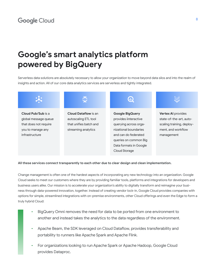## **Google's smart analytics platform powered by BigQuery**

Serverless data solutions are absolutely necessary to allow your organization to move beyond data silos and into the realm of insights and action. All of our core data analytics services are serverless and tightly integrated.



#### **All these services connect transparently to each other due to clear design and clean implementation.**

Change management is often one of the hardest aspects of incorporating any new technology into an organization. Google Cloud seeks to meet our customers where they are by providing familiar tools, platforms and integrations for developers and business users alike. Our mission is to accelerate your organization's ability to digitally transform and reimagine your business through data-powered innovation, together. Instead of creating vendor lock-in, Google Cloud provides companies with options for simple, streamlined integrations with on-premise environments, other Cloud offerings and even the Edge to form a truly hybrid Cloud:

- BigQuery Omni removes the need for data to be ported from one environment to another and instead takes the analytics to the data regardless of the environment.
- Apache Beam, the SDK leveraged on Cloud Dataflow, provides transferability and portability to runners like Apache Spark and Apache Flink.
- For organizations looking to run Apache Spark or Apache Hadoop, Google Cloud provides Dataproc.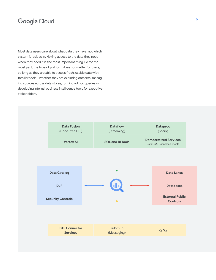Most data users care about what data they have, not which system it resides in. Having access to the data they need when they need it is the most important thing. So for the most part, the type of platform does not matter for users, so long as they are able to access fresh, usable data with familiar tools - whether they are exploring datasets, managing sources across data stores, running ad hoc queries or developing internal business intelligence tools for executive stakeholders.

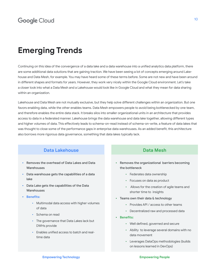## **Emerging Trends**

Continuing on this idea of the convergence of a data lake and a data warehouse into a unified analytics data platform, there are some additional data solutions that are gaining traction. We have been seeing a lot of concepts emerging around Lakehouse and Data Mesh, for example. You may have heard some of these terms before. Some are not new and have been around in different shapes and formats for years. However, they work very nicely within the Google Cloud environment. Let's take a closer look into what a Data Mesh and a Lakehouse would look like in Google Cloud and what they mean for data sharing within an organization.

Lakehouse and Data Mesh are not mutually exclusive, but they help solve different challenges within an organization. But one favors enabling data, while the other enables teams. Data Mesh empowers people to avoid being bottlenecked by one team, and therefore enables the entire data stack. It breaks silos into smaller organizational units in an architecture that provides access to data in a federated manner. Lakehouse brings the data warehouse and data lake together, allowing different types and higher volumes of data. This effectively leads to schema-on-read instead of schema-on-write, a feature of data lakes that was thought to close some of the performance gaps in enterprise data warehouses. As an added benefit, this architecture also borrows more rigorous data governance, something that data lakes typically lack.

#### **Data Lakehouse Data Mesh**

- Removes the overhead of Data Lakes and Data **Warehouses**
- Data warehouse gets the capabilities of a data lake
- Data Lake gets the capabilities of the Data **Warehouses**
- **• Benefits:** 
	- Multimodal data access with higher volumes of data
	- Schema on read
	- The governance that Data Lakes lack but DWHs provide
	- Enables unified access to batch and realtime data

- Removes the organizational barriers becoming the bottleneck
	- Federates data ownership
	- Focuses on data as product
	- Allows for the creation of agile teams and shorter time to insights
- Teams own their data & technology
	- Provides API / access to other teams
	- Decentralized raw and processed data
- **• Benefits:**
	- Well defined, governed and secure
	- Ability to leverage several domains with no data movement
	- Leverages DataOps methodologies (builds on lessons learned in DevOps)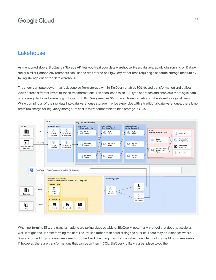#### Lakehouse

As mentioned above, BigQuery's Storage API lets you treat your data warehouse like a data lake. Spark jobs running on Dataproc or similar Hadoop environments can use the data stored on BigQuery rather than requiring a separate storage medium by taking storage out of the data warehouse.

The sheer compute power that is decoupled from storage within BigQuery enables SQL-based transformation and utilizes views across different layers of these transformations. This then leads to an ELT-type approach and enables a more agile data processing platform. Leveraging ELT over ETL, BigQuery enables SQL-based transformations to be stored as logical views. While dumping all of the raw data into data warehouse storage may be expensive with a traditional data warehouse, there is no premium charge for BigQuery storage. Its cost is fairly comparable to blob storage in GCS.



When performing ETL, the transformations are taking place outside of BigQuery, potentially in a tool that does not scale as well. It might end up transforming the data line-by-line rather than parallelizing the queries. There may be instances where Spark or other ETL processes are already codified and changing them for the sake of new technology might not make sense. If, however, there are transformations that can be written in SQL, BigQuery is likely a great place to do them.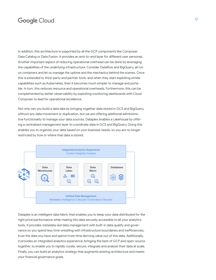In addition, this architecture is supported by all the GCP components like Composer, Data Catalog or Data Fusion. It provides an end-to-end layer for different user personas. Another important aspect of reducing operational overhead can be done by leveraging the capabilities of the underlying infrastructure. Consider Dataflow and BigQuery, all run on containers and let us manage the uptime and the mechanics behind the scenes. Once this is extended to third-party and partner tools, and when they start exploiting similar capabilities such as Kubernetes, then it becomes much simpler to manage and portable. In turn, this reduces resource and operational overheads. Furthermore, this can be complemented by better observability by exploiting monitoring dashboards with Cloud Composer to lead for operational excellence.

Not only can you build a data lake by bringing together data stored in GCS and BigQuery, without any data movement or duplication, but we are offering additional administrative functionality to manage your data sources. Dataplex enables a Lakehouse by offering a centralized management layer to coordinate data in GCS and BigQuery. Doing this enables you to organize your data based on your business needs, so you are no longer restricted by how or where that data is stored.



Dataplex is an intelligent data fabric that enables you to keep your data distributed for the right price/performance while making this data securely accessible to all your analytics tools. It provides metadata-led data management with built-in data quality and governance so you spend less time wrestling with infrastructure boundaries and inefficiencies, trust the data you have and spend more time deriving value out of this data. Additionally, it provides an integrated analytics experience, bringing the best of GCP and open-source together, to enable you to rapidly curate, secure, integrate and analyze their data at scale. Finally, you can build an analytics strategy that augments existing architecture and meets your financial governance goals.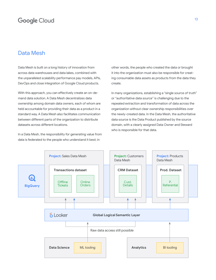#### Data Mesh

Data Mesh is built on a long history of innovation from across data warehouses and data lakes, combined with the unparalleled scalability performance pay models, APIs, DevOps and close integration of Google Cloud products.

With this approach, you can effectively create an on-demand data solution. A Data Mesh decentralizes data ownership among domain data owners, each of whom are held accountable for providing their data as a product in a standard way. A Data Mesh also facilitates communication between different parts of the organization to distribute datasets across different locations.

In a Data Mesh, the responsibility for generating value from data is federated to the people who understand it best; in

other words, the people who created the data or brought it into the organization must also be responsible for creating consumable data assets as products from the data they create.

In many organizations, establishing a "single source of truth" or "authoritative data source" is challenging due to the repeated extraction and transformation of data across the organization without clear ownership responsibilities over the newly-created data. In the Data Mesh, the authoritative data source is the Data Product published by the source domain, with a clearly assigned Data Owner and Steward who is responsible for that data.

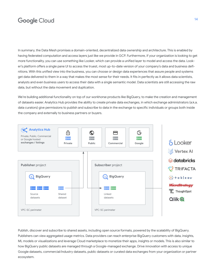In summary, the Data Mesh promises a domain-oriented, decentralized data ownership and architecture. This is enabled by having federated computation and access layers just like we provide in GCP. Furthermore, if your organization is looking to get more functionality, you can use something like Looker, which can provide a unified layer to model and access the data. Looker's platform offers a single pane UI to access the truest, most up-to-date version of your company's data and business definitions. With this unified view into the business, you can choose or design data experiences that assure people and systems get data delivered to them in a way that makes the most sense for their needs. It fits in perfectly as it allows data scientists, analysts and even business users to access their data with a single semantic model. Data scientists are still accessing the raw data, but without the data movement and duplication.

We're building additional functionality on top of our workhorse products like BigQuery, to make the creation and management of datasets easier. Analytics Hub provides the ability to create private data exchanges, in which exchange administrators (a.k.a. data curators) give permissions to publish and subscribe to data in the exchange to specific individuals or groups both inside the company and externally to business partners or buyers.



Publish, discover and subscribe to shared assets, including open source formats, powered by the scalability of BigQuery. Publishers can view aggregated usage metrics. Data providers can reach enterprise BigQuery customers with data, insights, ML models or visualizations and leverage Cloud marketplace to monetize their apps, insights or models. This is also similar to how BigQuery public datasets are managed through a Google-managed exchange. Drive innovation with access to unique Google datasets, commercial/industry datasets, public datasets or curated data exchanges from your organization or partner ecosystem.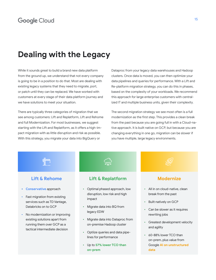## **Dealing with the Legacy**

While it sounds great to build a brand new data platform from the ground up, we understand that not every company is going to be in a position to do that. Most are dealing with existing legacy systems that they need to migrate, port, or patch until they can be replaced. We have worked with customers at every stage of their data platform journey and we have solutions to meet your situation.

There are typically three categories of migration that we see among customers: Lift and Replatform, Lift and Rehome and full Modernization. For most businesses, we suggest starting with the Lift and Replatform, as it offers a high-impact migration with as little disruption and risk as possible. With this strategy, you migrate your data into BigQuery or

Dataproc from your legacy data warehouses and Hadoop clusters. Once data is moved, you can then optimize your data pipelines and queries for performance. With a Lift and Re-platform migration strategy, you can do this in phases, based on the complexity of your workloads. We recommend this approach for large enterprise customers with centralized IT and multiple business units, given their complexity.

The second migration strategy we see most often is a full modernization as the first step. This provides a clean break from the past because you are going full in with a Cloud-native approach. It is built native on GCP, but because you are changing everything in one go, migration can be slower if you have multiple, large legacy environments.

#### **Lift & Rehome**

- **• Conservative** approach
- Fast migration from existing services such as TD Vantage, Databricks on to GCP
- No modernization or improving existing solutions apart from running them over GCP as a tactical intermediate decision

**Lift & Replatform**

ᢒ᠋ᢅᢅᢅᢅᠯᠯᢛ

- Optimal phased approach, low disruption, low risk and high impact
- Migrate data into BQ from legacy EDW
- Migrate data into Dataproc from on-premise Hadoop cluster
- Optiize queries and data pipelines for performance
- Up to **57% lower TCO than on-prem**

#### **Modernize**

- All in on cloud-native, clean break from the past
- Built natively on GCP
- Can be slower as it requires rewriting jobs
- Greatest development velocity and agility
- 60-88% lower TCO than on-prem, plus value from Google **AI on unstructured data**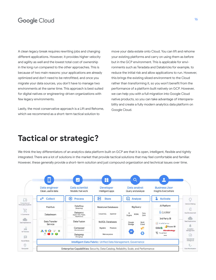A clean legacy break requires rewriting jobs and changing different applications. However, it provides higher velocity and agility as well and the lowest total cost of ownership in the long run compared to the other approaches. This is because of two main reasons: your applications are already optimized and don't need to be retrofitted, and once you migrate your data sources, you don't have to manage two environments at the same time. This approach is best suited for digital natives or engineering-driven organizations with few legacy environments.

Lastly, the most conservative approach is a Lift and Rehome, which we recommend as a short-term tactical solution to

move your data estate onto Cloud. You can lift and rehome your existing platforms and carry on using them as before but in the GCP environment. This is applicable for environments such as Teradata and Databricks for example, to reduce the initial risk and allow applications to run. However, this brings the existing siloed environment to the Cloud rather than transforming it, so you won't benefit from the performance of a platform built natively on GCP. However, we can help you with a full migration into Google Cloud native products, so you can take advantage of interoperability and create a fully modern analytics data platform on Google Cloud.

## **Tactical or strategic?**

We think the key differentiators of an analytics data platform built on GCP are that it is open, intelligent, flexible and tightly integrated. There are a lot of solutions in the market that provide tactical solutions that may feel comfortable and familiar. However, these generally provide a short-term solution and just compound organization and technical issues over time.

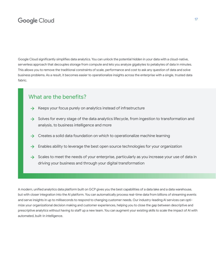Google Cloud significantly simplifies data analytics. You can unlock the potential hidden in your data with a cloud-native, serverless approach that decouples storage from compute and lets you analyze gigabytes to petabytes of data in minutes. This allows you to remove the traditional constraints of scale, performance and cost to ask any question of data and solve business problems. As a result, it becomes easier to operationalize insights across the enterprise with a single, trusted data fabric.

#### What are the benefits?

- $\rightarrow$  Keeps your focus purely on analytics instead of infrastructure
- $\rightarrow$  Solves for every stage of the data analytics lifecycle, from ingestion to transformation and analysis, to business intelligence and more
- $\rightarrow$  Creates a solid data foundation on which to operationalize machine learning
- Enables ability to leverage the best open source technologies for your organization  $\rightarrow$
- $\rightarrow$  Scales to meet the needs of your enterprise, particularly as you increase your use of data in driving your business and through your digital transformation

A modern, unified analytics data platform built on GCP gives you the best capabilities of a data lake and a data warehouse, but with closer integration into the AI platform. You can automatically process real-time data from billions of streaming events and serve insights in up to milliseconds to respond to changing customer needs. Our industry-leading AI services can optimize your organizational decision making and customer experiences, helping you to close the gap between descriptive and prescriptive analytics without having to staff up a new team. You can augment your existing skills to scale the impact of AI with automated, built-in intelligence.